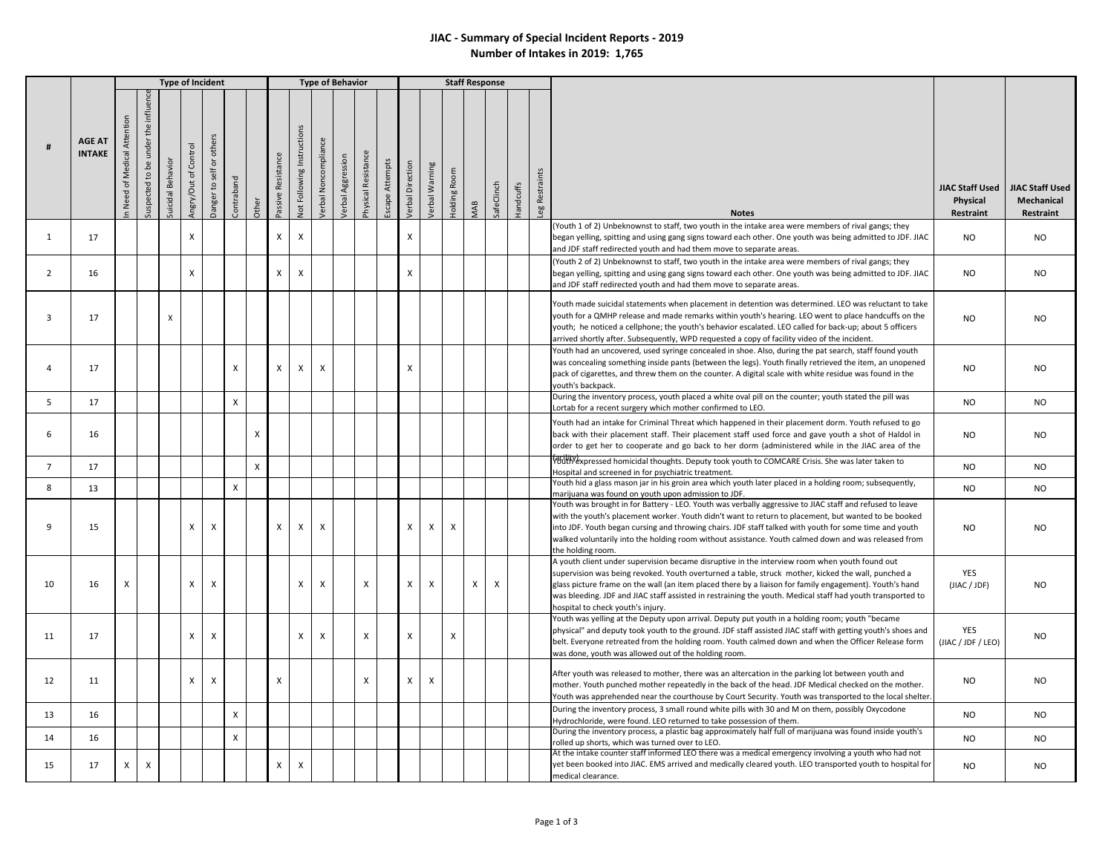## **JIAC - Summary of Special Incident Reports - 2019 Number of Intakes in 2019: 1,765**

|                |                                |                                |                                         |                   | <b>Type of Incident</b> |                                                          |                |              |                    |                            |                           | <b>Type of Behavior</b>  |                           |                 |                         |                           | <b>Staff Response</b> |     |                           |           |            |    |                                                                                                                                                                                                                                                                                                                                                                                                                                                                   |                                          |                                            |
|----------------|--------------------------------|--------------------------------|-----------------------------------------|-------------------|-------------------------|----------------------------------------------------------|----------------|--------------|--------------------|----------------------------|---------------------------|--------------------------|---------------------------|-----------------|-------------------------|---------------------------|-----------------------|-----|---------------------------|-----------|------------|----|-------------------------------------------------------------------------------------------------------------------------------------------------------------------------------------------------------------------------------------------------------------------------------------------------------------------------------------------------------------------------------------------------------------------------------------------------------------------|------------------------------------------|--------------------------------------------|
|                | <b>AGE AT</b><br><b>INTAKE</b> | Attention<br>n Need of Medical | influen<br>under the<br>Suspected to be | Suicidal Behavior | Angry/Out of Control    | others<br>$\overleftarrow{\mathtt{o}}$<br>Danger to self | Contraband     | Other        | Passive Resistance | Not Following Instructions | /erbal Noncompliance      | <b>/erbal Aggression</b> | Physical Resistance       | Escape Attempts | <b>Jerbal Direction</b> | Verbal Warning            | Holding Room          | MAB | SafeClinch                | Handcuffs | Restraints | eg | <b>Notes</b>                                                                                                                                                                                                                                                                                                                                                                                                                                                      | JIAC Staff Used<br>Physical<br>Restraint | JIAC Staff Used<br>Mechanical<br>Restraint |
| 1              | 17                             |                                |                                         |                   | X                       |                                                          |                |              | x                  | X                          |                           |                          |                           |                 | X                       |                           |                       |     |                           |           |            |    | Youth 1 of 2) Unbeknownst to staff, two youth in the intake area were members of rival gangs; they<br>began yelling, spitting and using gang signs toward each other. One youth was being admitted to JDF. JIAC<br>and JDF staff redirected youth and had them move to separate areas.                                                                                                                                                                            | <b>NO</b>                                | NO                                         |
| $\overline{2}$ | 16                             |                                |                                         |                   | $\times$                |                                                          |                |              | x                  | X                          |                           |                          |                           |                 | X                       |                           |                       |     |                           |           |            |    | (Youth 2 of 2) Unbeknownst to staff, two youth in the intake area were members of rival gangs; they<br>began yelling, spitting and using gang signs toward each other. One youth was being admitted to JDF. JIAC<br>and JDF staff redirected youth and had them move to separate areas.                                                                                                                                                                           | <b>NO</b>                                | <b>NO</b>                                  |
| $\overline{3}$ | 17                             |                                |                                         | X                 |                         |                                                          |                |              |                    |                            |                           |                          |                           |                 |                         |                           |                       |     |                           |           |            |    | Youth made suicidal statements when placement in detention was determined. LEO was reluctant to take<br>youth for a QMHP release and made remarks within youth's hearing. LEO went to place handcuffs on the<br>youth; he noticed a cellphone; the youth's behavior escalated. LEO called for back-up; about 5 officers<br>arrived shortly after. Subsequently, WPD requested a copy of facility video of the incident.                                           | <b>NO</b>                                | NO                                         |
|                | 17                             |                                |                                         |                   |                         |                                                          | X              |              | x                  | X                          | $\boldsymbol{\mathsf{X}}$ |                          |                           |                 | X                       |                           |                       |     |                           |           |            |    | Youth had an uncovered, used syringe concealed in shoe. Also, during the pat search, staff found youth<br>was concealing something inside pants (between the legs). Youth finally retrieved the item, an unopened<br>pack of cigarettes, and threw them on the counter. A digital scale with white residue was found in the<br>outh's backpack.                                                                                                                   | NO.                                      | NO.                                        |
| 5              | 17                             |                                |                                         |                   |                         |                                                          | X              |              |                    |                            |                           |                          |                           |                 |                         |                           |                       |     |                           |           |            |    | During the inventory process, youth placed a white oval pill on the counter; youth stated the pill was<br>ortab for a recent surgery which mother confirmed to LEO.                                                                                                                                                                                                                                                                                               | <b>NO</b>                                | <b>NO</b>                                  |
| 6              | 16                             |                                |                                         |                   |                         |                                                          |                | X            |                    |                            |                           |                          |                           |                 |                         |                           |                       |     |                           |           |            |    | Youth had an intake for Criminal Threat which happened in their placement dorm. Youth refused to go<br>back with their placement staff. Their placement staff used force and gave youth a shot of Haldol in<br>order to get her to cooperate and go back to her dorm (administered while in the JIAC area of the                                                                                                                                                  | <b>NO</b>                                | <b>NO</b>                                  |
| $\overline{7}$ | 17                             |                                |                                         |                   |                         |                                                          |                | $\pmb{\chi}$ |                    |                            |                           |                          |                           |                 |                         |                           |                       |     |                           |           |            |    | <b>FOULD PERIOD FOULD FEED FOULD FEED FOULD FEED FOULD FEED FOULD FEED FOULD FEED FOULD FEED FOULD FEED FOULD FE</b><br>lospital and screened in for psychiatric treatment.                                                                                                                                                                                                                                                                                       | NO.                                      | NO                                         |
| 8              | 13                             |                                |                                         |                   |                         |                                                          | $\pmb{\times}$ |              |                    |                            |                           |                          |                           |                 |                         |                           |                       |     |                           |           |            |    | Youth hid a glass mason jar in his groin area which youth later placed in a holding room; subsequently,<br>marijuana was found on youth upon admission to JDF.                                                                                                                                                                                                                                                                                                    | <b>NO</b>                                | NO                                         |
| q              | 15                             |                                |                                         |                   | $\mathsf{x}$            | X                                                        |                |              | X                  | X                          | X                         |                          |                           |                 | X                       | X                         | X                     |     |                           |           |            |    | Youth was brought in for Battery - LEO. Youth was verbally aggressive to JIAC staff and refused to leave<br>with the youth's placement worker. Youth didn't want to return to placement, but wanted to be booked<br>into JDF. Youth began cursing and throwing chairs. JDF staff talked with youth for some time and youth<br>walked voluntarily into the holding room without assistance. Youth calmed down and was released from<br>the holding room.           | <b>NO</b>                                | <b>NO</b>                                  |
| 10             | 16                             | $\boldsymbol{\mathsf{x}}$      |                                         |                   | $\mathsf{x}$            | X                                                        |                |              |                    | X                          | X                         |                          | $\boldsymbol{\mathsf{x}}$ |                 | X                       | $\pmb{\chi}$              |                       | X   | $\boldsymbol{\mathsf{x}}$ |           |            |    | A youth client under supervision became disruptive in the interview room when youth found out<br>supervision was being revoked. Youth overturned a table, struck mother, kicked the wall, punched a<br>glass picture frame on the wall (an item placed there by a liaison for family engagement). Youth's hand<br>was bleeding. JDF and JIAC staff assisted in restraining the youth. Medical staff had youth transported to<br>hospital to check youth's injury. | YES<br>(JIAC / JDF)                      | <b>NO</b>                                  |
| 11             | 17                             |                                |                                         |                   | X                       | X                                                        |                |              |                    | X                          | X                         |                          | $\boldsymbol{\mathsf{x}}$ |                 | X                       |                           | X                     |     |                           |           |            |    | Youth was yelling at the Deputy upon arrival. Deputy put youth in a holding room; youth "became<br>physical" and deputy took youth to the ground. JDF staff assisted JIAC staff with getting youth's shoes and<br>belt. Everyone retreated from the holding room. Youth calmed down and when the Officer Release form<br>was done, youth was allowed out of the holding room.                                                                                     | YES<br>(JIAC / JDF / LEO)                | NO.                                        |
| 12             | 11                             |                                |                                         |                   | $\times$                | $\mathsf{x}$                                             |                |              | X                  |                            |                           |                          | $\boldsymbol{\mathsf{x}}$ |                 | $\times$                | $\boldsymbol{\mathsf{x}}$ |                       |     |                           |           |            |    | After youth was released to mother, there was an altercation in the parking lot between youth and<br>mother. Youth punched mother repeatedly in the back of the head. JDF Medical checked on the mother.<br>Youth was apprehended near the courthouse by Court Security. Youth was transported to the local shelter.                                                                                                                                              | <b>NO</b>                                | NO.                                        |
| 13             | 16                             |                                |                                         |                   |                         |                                                          | X              |              |                    |                            |                           |                          |                           |                 |                         |                           |                       |     |                           |           |            |    | During the inventory process, 3 small round white pills with 30 and M on them, possibly Oxycodone<br>Hydrochloride, were found. LEO returned to take possession of them.                                                                                                                                                                                                                                                                                          | <b>NO</b>                                | <b>NO</b>                                  |
| 14             | 16                             |                                |                                         |                   |                         |                                                          | X              |              |                    |                            |                           |                          |                           |                 |                         |                           |                       |     |                           |           |            |    | During the inventory process, a plastic bag approximately half full of marijuana was found inside youth's<br>rolled up shorts, which was turned over to LEO.                                                                                                                                                                                                                                                                                                      | <b>NO</b>                                | <b>NO</b>                                  |
| 15             | 17                             | $\times$                       | $\boldsymbol{\mathsf{X}}$               |                   |                         |                                                          |                |              | X                  | X                          |                           |                          |                           |                 |                         |                           |                       |     |                           |           |            |    | At the intake counter staff informed LEO there was a medical emergency involving a youth who had not<br>yet been booked into JIAC. EMS arrived and medically cleared youth. LEO transported youth to hospital for<br>medical clearance.                                                                                                                                                                                                                           | NO.                                      | NO.                                        |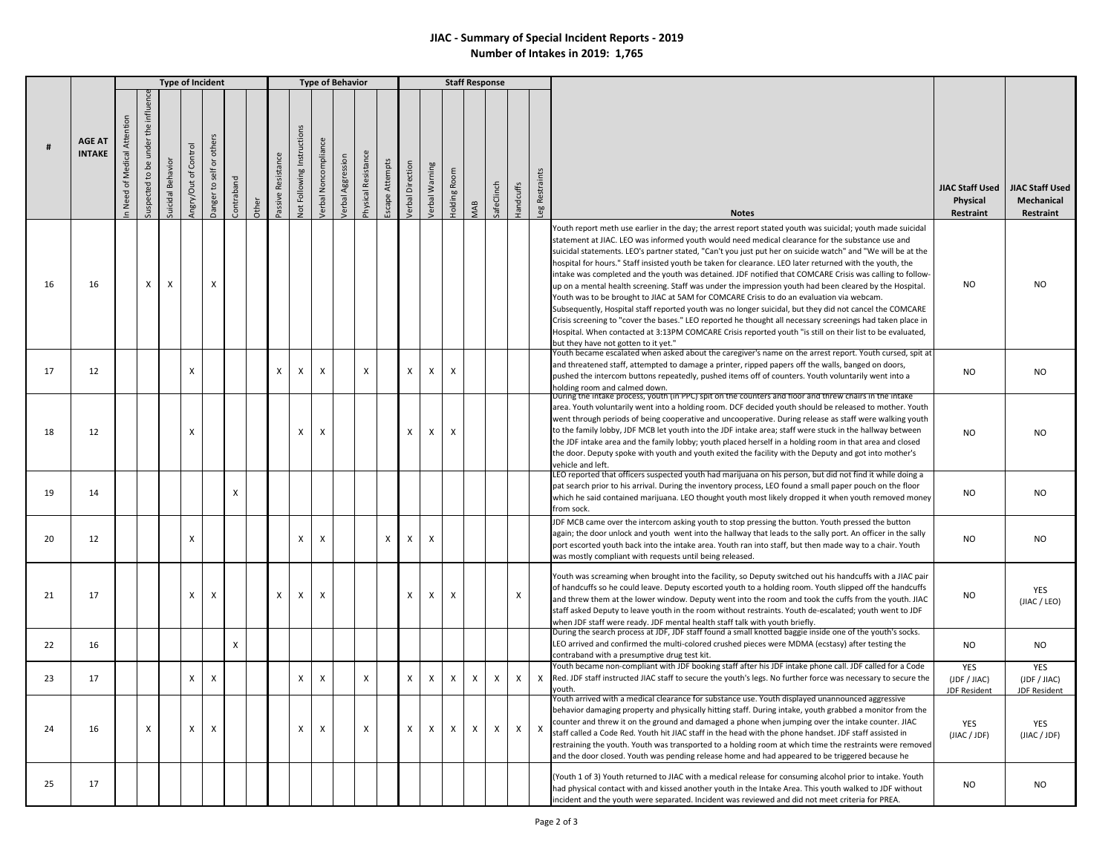## **JIAC - Summary of Special Incident Reports - 2019 Number of Intakes in 2019: 1,765**

|    |                                | <b>Type of Incident</b>                       |                                           |                   |                         |                           |            |       |                    |                                   |                      | <b>Type of Behavior</b> |                           |                           |                  |                       | <b>Staff Response</b> |            |            |                |               |                                                                                                                                                                                                                                                                                                                                                                                                                                                                                                                                                                                                                                                                                                                                                                                                                                                                                                                                                                                                                                                                                                                                             |                                            |                                                              |
|----|--------------------------------|-----------------------------------------------|-------------------------------------------|-------------------|-------------------------|---------------------------|------------|-------|--------------------|-----------------------------------|----------------------|-------------------------|---------------------------|---------------------------|------------------|-----------------------|-----------------------|------------|------------|----------------|---------------|---------------------------------------------------------------------------------------------------------------------------------------------------------------------------------------------------------------------------------------------------------------------------------------------------------------------------------------------------------------------------------------------------------------------------------------------------------------------------------------------------------------------------------------------------------------------------------------------------------------------------------------------------------------------------------------------------------------------------------------------------------------------------------------------------------------------------------------------------------------------------------------------------------------------------------------------------------------------------------------------------------------------------------------------------------------------------------------------------------------------------------------------|--------------------------------------------|--------------------------------------------------------------|
|    | <b>AGE AT</b><br><b>INTAKE</b> | Attention<br>Medical<br>$\rm ^{5}$<br>In Need | influence<br>under the<br>suspected to be | Suicidal Behavior | of Control<br>Angry/Out | Danger to self or others  | Contraband | Other | Passive Resistance | <b>Not Following Instructions</b> | /erbal Noncompliance | /erbal Aggression       | Physical Resistance       | Escape Attempts           | /erbal Direction | <b>/erbal Warning</b> | Holding Room          | <b>MAB</b> | SafeClinch | Handcuffs      | eg Restraints | <b>Notes</b>                                                                                                                                                                                                                                                                                                                                                                                                                                                                                                                                                                                                                                                                                                                                                                                                                                                                                                                                                                                                                                                                                                                                | Physical<br>Restraint                      | JIAC Staff Used   JIAC Staff Used<br>Mechanical<br>Restraint |
| 16 | 16                             |                                               | $\times$                                  | $\times$          |                         | $\times$                  |            |       |                    |                                   |                      |                         |                           |                           |                  |                       |                       |            |            |                |               | Youth report meth use earlier in the day; the arrest report stated youth was suicidal; youth made suicidal<br>statement at JIAC. LEO was informed youth would need medical clearance for the substance use and<br>suicidal statements. LEO's partner stated, "Can't you just put her on suicide watch" and "We will be at the<br>hospital for hours." Staff insisted youth be taken for clearance. LEO later returned with the youth, the<br>intake was completed and the youth was detained. JDF notified that COMCARE Crisis was calling to follow-<br>up on a mental health screening. Staff was under the impression youth had been cleared by the Hospital.<br>Youth was to be brought to JIAC at 5AM for COMCARE Crisis to do an evaluation via webcam.<br>Subsequently, Hospital staff reported youth was no longer suicidal, but they did not cancel the COMCARE<br>Crisis screening to "cover the bases." LEO reported he thought all necessary screenings had taken place in<br>Hospital. When contacted at 3:13PM COMCARE Crisis reported youth "is still on their list to be evaluated,<br>but they have not gotten to it yet." | <b>NO</b>                                  | N <sub>O</sub>                                               |
| 17 | 12                             |                                               |                                           |                   | X                       |                           |            |       | X                  | X                                 | X                    |                         | $\boldsymbol{\mathsf{x}}$ |                           | X                | $\mathsf{x}$          | $\times$              |            |            |                |               | Youth became escalated when asked about the caregiver's name on the arrest report. Youth cursed, spit at<br>and threatened staff, attempted to damage a printer, ripped papers off the walls, banged on doors,<br>pushed the intercom buttons repeatedly, pushed items off of counters. Youth voluntarily went into a<br>holding room and calmed down.                                                                                                                                                                                                                                                                                                                                                                                                                                                                                                                                                                                                                                                                                                                                                                                      | <b>NO</b>                                  | <b>NO</b>                                                    |
| 18 | 12                             |                                               |                                           |                   | X                       |                           |            |       |                    | X                                 | X                    |                         |                           |                           | X                | $\mathsf{X}$          | X                     |            |            |                |               | During the intake process, youth (in PPC) spit on the counters and floor and threw chairs in the intake<br>area. Youth voluntarily went into a holding room. DCF decided youth should be released to mother. Youth<br>went through periods of being cooperative and uncooperative. During release as staff were walking youth<br>to the family lobby, JDF MCB let youth into the JDF intake area; staff were stuck in the hallway between<br>the JDF intake area and the family lobby; youth placed herself in a holding room in that area and closed<br>the door. Deputy spoke with youth and youth exited the facility with the Deputy and got into mother's<br>vehicle and left.                                                                                                                                                                                                                                                                                                                                                                                                                                                         | <b>NO</b>                                  | NO.                                                          |
| 19 | 14                             |                                               |                                           |                   |                         |                           | X          |       |                    |                                   |                      |                         |                           |                           |                  |                       |                       |            |            |                |               | LEO reported that officers suspected youth had marijuana on his person, but did not find it while doing a<br>pat search prior to his arrival. During the inventory process, LEO found a small paper pouch on the floor<br>which he said contained marijuana. LEO thought youth most likely dropped it when youth removed money<br>from sock.                                                                                                                                                                                                                                                                                                                                                                                                                                                                                                                                                                                                                                                                                                                                                                                                | <b>NO</b>                                  | NO.                                                          |
| 20 | 12                             |                                               |                                           |                   | $\mathsf{x}$            |                           |            |       |                    | X                                 | $\mathsf{x}$         |                         |                           | $\boldsymbol{\mathsf{x}}$ | X                | X                     |                       |            |            |                |               | JDF MCB came over the intercom asking youth to stop pressing the button. Youth pressed the button<br>again; the door unlock and youth went into the hallway that leads to the sally port. An officer in the sally<br>port escorted youth back into the intake area. Youth ran into staff, but then made way to a chair. Youth<br>was mostly compliant with requests until being released.                                                                                                                                                                                                                                                                                                                                                                                                                                                                                                                                                                                                                                                                                                                                                   | NO.                                        | N <sub>O</sub>                                               |
| 21 | 17                             |                                               |                                           |                   | $\mathsf{X}$            | $\times$                  |            |       | X                  | X                                 | X                    |                         |                           |                           | $\mathsf{x}$     | $\mathsf{X}$          | X                     |            |            | $\pmb{\times}$ |               | Youth was screaming when brought into the facility, so Deputy switched out his handcuffs with a JIAC pair<br>of handcuffs so he could leave. Deputy escorted youth to a holding room. Youth slipped off the handcuffs<br>and threw them at the lower window. Deputy went into the room and took the cuffs from the youth. JIAC<br>staff asked Deputy to leave youth in the room without restraints. Youth de-escalated; youth went to JDF<br>when JDF staff were ready. JDF mental health staff talk with youth briefly.                                                                                                                                                                                                                                                                                                                                                                                                                                                                                                                                                                                                                    | <b>NO</b>                                  | YES<br>(JIAC / LEO)                                          |
| 22 | 16                             |                                               |                                           |                   |                         |                           | X          |       |                    |                                   |                      |                         |                           |                           |                  |                       |                       |            |            |                |               | During the search process at JDF, JDF staff found a small knotted baggie inside one of the youth's socks.<br>LEO arrived and confirmed the multi-colored crushed pieces were MDMA (ecstasy) after testing the<br>contraband with a presumptive drug test kit.                                                                                                                                                                                                                                                                                                                                                                                                                                                                                                                                                                                                                                                                                                                                                                                                                                                                               | <b>NO</b>                                  | <b>NO</b>                                                    |
| 23 | 17                             |                                               |                                           |                   | $\times$                | $\times$                  |            |       |                    | X                                 | X                    |                         | $\boldsymbol{\mathsf{x}}$ |                           | $\times$         | $\mathsf{x}$          | $\mathsf{x}$          | X          | X          | $\mathsf{x}$   | $\mathsf{X}$  | Youth became non-compliant with JDF booking staff after his JDF intake phone call. JDF called for a Code<br>Red. JDF staff instructed JIAC staff to secure the youth's legs. No further force was necessary to secure the<br>vouth.                                                                                                                                                                                                                                                                                                                                                                                                                                                                                                                                                                                                                                                                                                                                                                                                                                                                                                         | YES<br>(JDF / JIAC)<br><b>JDF Resident</b> | <b>YES</b><br>(JDF / JIAC)<br><b>JDF Resident</b>            |
| 24 | 16                             |                                               | $\pmb{\chi}$                              |                   | X                       | $\boldsymbol{\mathsf{X}}$ |            |       |                    | X                                 | $\pmb{\times}$       |                         | X                         |                           | $\mathsf{x}$     | $\mathsf{x}$          | $\mathsf{x}$          | X          | X          | X              | X             | Youth arrived with a medical clearance for substance use. Youth displayed unannounced aggressive<br>behavior damaging property and physically hitting staff. During intake, youth grabbed a monitor from the<br>counter and threw it on the ground and damaged a phone when jumping over the intake counter. JIAC<br>staff called a Code Red. Youth hit JIAC staff in the head with the phone handset. JDF staff assisted in<br>restraining the youth. Youth was transported to a holding room at which time the restraints were removed<br>and the door closed. Youth was pending release home and had appeared to be triggered because he                                                                                                                                                                                                                                                                                                                                                                                                                                                                                                 | YES<br>(JIAC / JDF)                        | <b>YES</b><br>(JIAC / JDF)                                   |
| 25 | 17                             |                                               |                                           |                   |                         |                           |            |       |                    |                                   |                      |                         |                           |                           |                  |                       |                       |            |            |                |               | (Youth 1 of 3) Youth returned to JIAC with a medical release for consuming alcohol prior to intake. Youth<br>had physical contact with and kissed another youth in the Intake Area. This youth walked to JDF without<br>incident and the youth were separated. Incident was reviewed and did not meet criteria for PREA.                                                                                                                                                                                                                                                                                                                                                                                                                                                                                                                                                                                                                                                                                                                                                                                                                    | <b>NO</b>                                  | NO.                                                          |